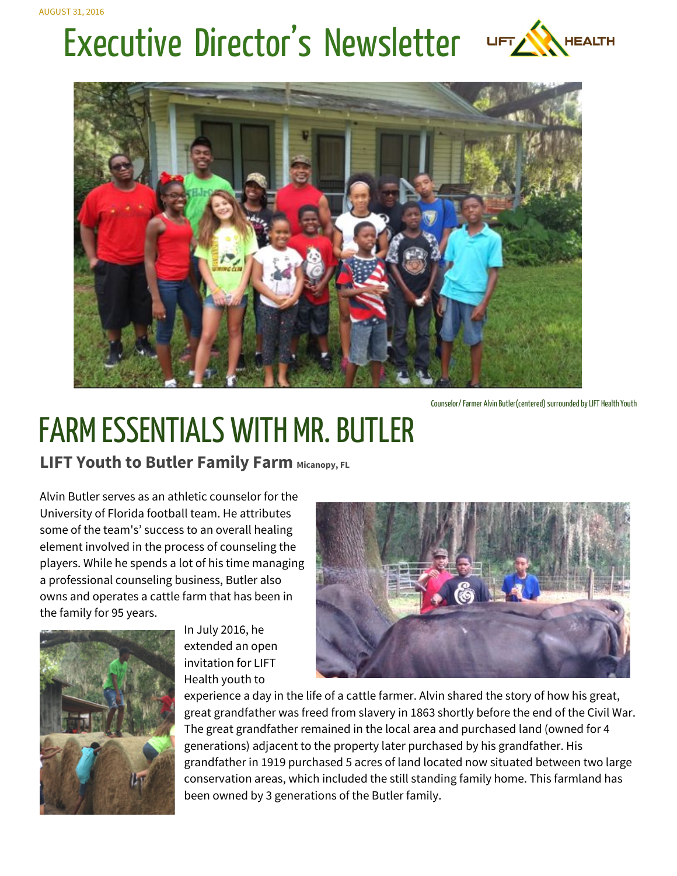# Executive Director's Newsletter





Counselor/ Farmer Alvin Butler(centered) surrounded by LIFT Health Youth

## **FARM ESSENTIALS WITH MR. BUTLER**

**LIFT Youth to Butler Family Farm Micanopy, FL** 

Alvin Butler serves as an athletic counselor for the University of Florida football team. He attributes some of the team's' success to an overall healing element involved in the process of counseling the players. While he spends a lot of his time managing a professional counseling business, Butler also owns and operates a cattle farm that has been in the family for 95 years.



In July 2016, he extended an open invitation for LIFT Health youth to



experience a day in the life of a cattle farmer. Alvin shared the story of how his great, great grandfather was freed from slavery in 1863 shortly before the end of the Civil War. The great grandfather remained in the local area and purchased land (owned for 4 generations) adjacent to the property later purchased by his grandfather. His grandfather in 1919 purchased 5 acres of land located now situated between two large conservation areas, which included the still standing family home. This farmland has been owned by 3 generations of the Butler family.